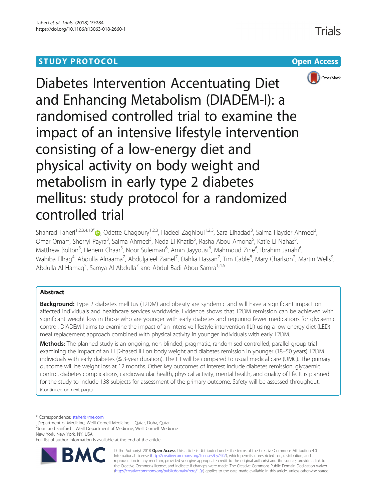# **STUDY PROTOCOL CONSUMING THE CONSUMING OPEN ACCESS**





Diabetes Intervention Accentuating Diet and Enhancing Metabolism (DIADEM-I): a randomised controlled trial to examine the impact of an intensive lifestyle intervention consisting of a low-energy diet and physical activity on body weight and metabolism in early type 2 diabetes mellitus: study protocol for a randomized controlled trial

Shahrad Taheri<sup>1[,](http://orcid.org/0000-0001-8314-1500)2,3,4,10\*</sup>@, Odette Chagoury<sup>1,2,3</sup>, Hadeel Zaghloul<sup>1,2,3</sup>, Sara Elhadad<sup>3</sup>, Salma Hayder Ahmed<sup>3</sup> , Omar Omar<sup>3</sup>, Sherryl Payra<sup>3</sup>, Salma Ahmed<sup>3</sup>, Neda El Khatib<sup>5</sup>, Rasha Abou Amona<sup>5</sup>, Katie El Nahas<sup>5</sup> , Matthew Bolton<sup>3</sup>, Henem Chaar<sup>3</sup>, Noor Suleiman<sup>6</sup>, Amin Jayyousi<sup>6</sup>, Mahmoud Zirie<sup>6</sup>, Ibrahim Janahi<sup>6</sup> , Wahiba Elhag<sup>4</sup>, Abdulla Alnaama<sup>7</sup>, Abduljaleel Zainel<sup>7</sup>, Dahlia Hassan<sup>7</sup>, Tim Cable<sup>8</sup>, Mary Charlson<sup>2</sup>, Martin Wells<sup>9</sup> , Abdulla Al-Hamaq<sup>5</sup>, Samya Al-Abdulla<sup>7</sup> and Abdul Badi Abou-Samra<sup>1,4,6</sup>

# Abstract

**Background:** Type 2 diabetes mellitus (T2DM) and obesity are syndemic and will have a significant impact on affected individuals and healthcare services worldwide. Evidence shows that T2DM remission can be achieved with significant weight loss in those who are younger with early diabetes and requiring fewer medications for glycaemic control. DIADEM-I aims to examine the impact of an intensive lifestyle intervention (ILI) using a low-energy diet (LED) meal replacement approach combined with physical activity in younger individuals with early T2DM.

Methods: The planned study is an ongoing, non-blinded, pragmatic, randomised controlled, parallel-group trial examining the impact of an LED-based ILI on body weight and diabetes remission in younger (18–50 years) T2DM individuals with early diabetes (≤ 3-year duration). The ILI will be compared to usual medical care (UMC). The primary outcome will be weight loss at 12 months. Other key outcomes of interest include diabetes remission, glycaemic control, diabetes complications, cardiovascular health, physical activity, mental health, and quality of life. It is planned for the study to include 138 subjects for assessment of the primary outcome. Safety will be assessed throughout. (Continued on next page)

\* Correspondence: [staheri@me.com](mailto:staheri@me.com) <sup>1</sup>

<sup>1</sup>Department of Medicine, Weill Cornell Medicine - Qatar, Doha, Qatar

 $2$ Joan and Sanford I. Weill Department of Medicine, Weill Cornell Medicine – New York, New York, NY, USA

Full list of author information is available at the end of the article



© The Author(s). 2018 Open Access This article is distributed under the terms of the Creative Commons Attribution 4.0 International License [\(http://creativecommons.org/licenses/by/4.0/](http://creativecommons.org/licenses/by/4.0/)), which permits unrestricted use, distribution, and reproduction in any medium, provided you give appropriate credit to the original author(s) and the source, provide a link to the Creative Commons license, and indicate if changes were made. The Creative Commons Public Domain Dedication waiver [\(http://creativecommons.org/publicdomain/zero/1.0/](http://creativecommons.org/publicdomain/zero/1.0/)) applies to the data made available in this article, unless otherwise stated.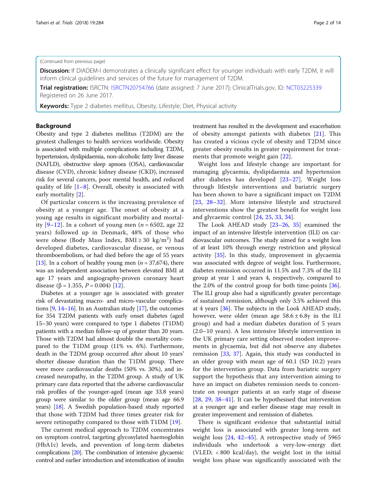# (Continued from previous page)

Discussion: If DIADEM-I demonstrates a clinically significant effect for younger individuals with early T2DM, it will inform clinical guidelines and services of the future for management of T2DM.

**Trial registration:** ISRCTN: [ISRCTN20754766](https://doi.org/10.1186/ISRCTN20754766) (date assigned: 7 June 2017); ClinicalTrials.gov, ID: [NCT03225339](https://clinicaltrials.gov/ct2/show/NCT03225339) Registered on 26 June 2017.

Keywords: Type 2 diabetes mellitus, Obesity, Lifestyle, Diet, Physical activity

# Background

Obesity and type 2 diabetes mellitus (T2DM) are the greatest challenges to health services worldwide. Obesity is associated with multiple complications including T2DM, hypertension, dyslipidaemia, non-alcoholic fatty liver disease (NAFLD), obstructive sleep apnoea (OSA), cardiovascular disease (CVD), chronic kidney disease (CKD), increased risk for several cancers, poor mental health, and reduced quality of life  $[1-8]$  $[1-8]$  $[1-8]$  $[1-8]$ . Overall, obesity is associated with early mortality [[2\]](#page-11-0).

Of particular concern is the increasing prevalence of obesity at a younger age. The onset of obesity at a young age results in significant morbidity and mortality  $[9-12]$  $[9-12]$  $[9-12]$  $[9-12]$  $[9-12]$ . In a cohort of young men (*n* = 6502, age 22 years) followed up in Denmark, 48% of those who were obese (Body Mass Index,  $\text{BMI} \geq 30 \text{ kg/m}^2$ ) had developed diabetes, cardiovascular disease, or venous thromboembolism, or had died before the age of 55 years [[13](#page-11-0)]. In a cohort of healthy young men ( $n = 37,674$ ), there was an independent association between elevated BMI at age 17 years and angiography-proven coronary heart disease ( $\beta$  = 1.355, *P* = 0.004) [\[12](#page-11-0)].

Diabetes at a younger age is associated with greater risk of devastating macro- and micro-vascular complications [\[9,](#page-11-0) [14](#page-11-0)–[16\]](#page-11-0). In an Australian study [\[17\]](#page-11-0), the outcomes for 354 T2DM patients with early onset diabetes (aged 15–30 years) were compared to type 1 diabetes (T1DM) patients with a median follow-up of greater than 20 years. Those with T2DM had almost double the mortality compared to the T1DM group (11% vs. 6%). Furthermore, death in the T2DM group occurred after about 10 years' shorter disease duration than the T1DM group. There were more cardiovascular deaths (50% vs. 30%), and increased neuropathy, in the T2DM group. A study of UK primary care data reported that the adverse cardiovascular risk profiles of the younger-aged (mean age 33.8 years) group were similar to the older group (mean age 66.9 years) [[18](#page-11-0)]. A Swedish population-based study reported that those with T2DM had three times greater risk for severe retinopathy compared to those with T1DM [[19\]](#page-11-0).

The current medical approach to T2DM concentrates on symptom control, targeting glycosylated haemoglobin (HbA1c) levels, and prevention of long-term diabetes complications [[20\]](#page-11-0). The combination of intensive glycaemic control and earlier introduction and intensification of insulin treatment has resulted in the development and exacerbation of obesity amongst patients with diabetes [[21](#page-11-0)]. This has created a vicious cycle of obesity and T2DM since greater obesity results in greater requirement for treatments that promote weight gain [\[22\]](#page-11-0).

Weight loss and lifestyle change are important for managing glycaemia, dyslipidaemia and hypertension after diabetes has developed [[23](#page-11-0)–[27](#page-11-0)]. Weight loss through lifestyle interventions and bariatric surgery has been shown to have a significant impact on T2DM [[23](#page-11-0), [28](#page-12-0)–[32\]](#page-12-0). More intensive lifestyle and structured interventions show the greatest benefit for weight loss and glycaemic control [[24](#page-11-0), [25](#page-11-0), [33,](#page-12-0) [34](#page-12-0)].

The Look AHEAD study [[23](#page-11-0)–[26](#page-11-0), [35\]](#page-12-0) examined the impact of an intensive lifestyle intervention (ILI) on cardiovascular outcomes. The study aimed for a weight loss of at least 10% through energy restriction and physical activity [\[35\]](#page-12-0). In this study, improvement in glycaemia was associated with degree of weight loss. Furthermore, diabetes remission occurred in 11.5% and 7.3% of the ILI group at year 1 and years 4, respectively, compared to the 2.0% of the control group for both time-points [\[36](#page-12-0)]. The ILI group also had a significantly greater percentage of sustained remission, although only 3.5% achieved this at 4 years [\[36\]](#page-12-0). The subjects in the Look AHEAD study, however, were older (mean age  $58.6 \pm 6.8y$  in the ILI group) and had a median diabetes duration of 5 years (2.0–10 years). A less intensive lifestyle intervention in the UK primary care setting observed modest improvements in glycaemia, but did not observe any diabetes remission [\[33](#page-12-0), [37](#page-12-0)]. Again, this study was conducted in an older group with mean age of 60.1 (SD 10.2) years for the intervention group. Data from bariatric surgery support the hypothesis that any intervention aiming to have an impact on diabetes remission needs to concentrate on younger patients at an early stage of disease [[28,](#page-12-0) [29,](#page-12-0) [38](#page-12-0)–[41\]](#page-12-0). It can be hypothesised that intervention at a younger age and earlier disease stage may result in greater improvement and remission of diabetes.

There is significant evidence that substantial initial weight loss is associated with greater long-term net weight loss [\[24](#page-11-0), [42](#page-12-0)–[45\]](#page-12-0). A retrospective study of 5965 individuals who undertook a very-low-energy diet (VLED; < 800 kcal/day), the weight lost in the initial weight loss phase was significantly associated with the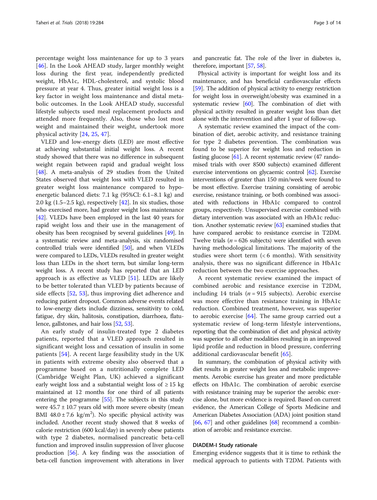percentage weight loss maintenance for up to 3 years [[46\]](#page-12-0). In the Look AHEAD study, larger monthly weight loss during the first year, independently predicted weight, HbA1c, HDL-cholesterol, and systolic blood pressure at year 4. Thus, greater initial weight loss is a key factor in weight loss maintenance and distal metabolic outcomes. In the Look AHEAD study, successful lifestyle subjects used meal replacement products and attended more frequently. Also, those who lost most weight and maintained their weight, undertook more physical activity [[24](#page-11-0), [25](#page-11-0), [47](#page-12-0)].

VLED and low-energy diets (LED) are most effective at achieving substantial initial weight loss. A recent study showed that there was no difference in subsequent weight regain between rapid and gradual weight loss [[48\]](#page-12-0). A meta-analysis of 29 studies from the United States observed that weight loss with VLED resulted in greater weight loss maintenance compared to hypoenergetic balanced diets: 7.1 kg (95%CI: 6.1–8.1 kg) and 2.0 kg  $(1.5-2.5 \text{ kg})$ , respectively  $[42]$  $[42]$  $[42]$ . In six studies, those who exercised more, had greater weight loss maintenance [[42](#page-12-0)]. VLEDs have been employed in the last 40 years for rapid weight loss and their use in the management of obesity has been recognised by several guidelines [[49](#page-12-0)]. In a systematic review and meta-analysis, six randomised controlled trials were identified [\[50\]](#page-12-0), and when VLEDs were compared to LEDs, VLEDs resulted in greater weight loss than LEDs in the short term, but similar long-term weight loss. A recent study has reported that an LED approach is as effective as VLED  $[51]$  $[51]$ . LEDs are likely to be better tolerated than VLED by patients because of side effects [\[52](#page-12-0), [53\]](#page-12-0), thus improving diet adherence and reducing patient dropout. Common adverse events related to low-energy diets include dizziness, sensitivity to cold, fatigue, dry skin, halitosis, constipation, diarrhoea, flatulence, gallstones, and hair loss [\[52,](#page-12-0) [53](#page-12-0)].

An early study of insulin-treated type 2 diabetes patients, reported that a VLED approach resulted in significant weight loss and cessation of insulin in some patients [[54\]](#page-12-0). A recent large feasibility study in the UK in patients with extreme obesity also observed that a programme based on a nutritionally complete LED (Cambridge Weight Plan, UK) achieved a significant early weight loss and a substantial weight loss of  $\geq 15$  kg maintained at 12 months for one third of all patients entering the programme [\[55\]](#page-12-0). The subjects in this study were  $45.7 \pm 10.7$  years old with more severe obesity (mean BMI  $48.0 \pm 7.6$  kg/m<sup>2</sup>). No specific physical activity was included. Another recent study showed that 8 weeks of calorie restriction (600 kcal/day) in severely obese patients with type 2 diabetes, normalised pancreatic beta-cell function and improved insulin suppression of liver glucose production [[56](#page-12-0)]. A key finding was the association of beta-cell function improvement with alterations in liver and pancreatic fat. The role of the liver in diabetes is, therefore, important [\[57](#page-12-0), [58](#page-12-0)].

Physical activity is important for weight loss and its maintenance, and has beneficial cardiovascular effects [[59\]](#page-12-0). The addition of physical activity to energy restriction for weight loss in overweight/obesity was examined in a systematic review [\[60\]](#page-12-0). The combination of diet with physical activity resulted in greater weight loss than diet alone with the intervention and after 1 year of follow-up.

A systematic review examined the impact of the combination of diet, aerobic activity, and resistance training for type 2 diabetes prevention. The combination was found to be superior for weight loss and reduction in fasting glucose [[61](#page-12-0)]. A recent systematic review (47 randomised trials with over 8500 subjects) examined different exercise interventions on glycaemic control [[62](#page-12-0)]. Exercise interventions of greater than 150 min/week were found to be most effective. Exercise training consisting of aerobic exercise, resistance training, or both combined was associated with reductions in HbA1c compared to control groups, respectively. Unsupervised exercise combined with dietary intervention was associated with an HbA1c reduction. Another systematic review [\[63\]](#page-12-0) examined studies that have compared aerobic to resistance exercise in T2DM. Twelve trials ( $n = 626$  subjects) were identified with seven having methodological limitations. The majority of the studies were short term (< 6 months). With sensitivity analysis, there was no significant difference in HbA1c reduction between the two exercise approaches.

A recent systematic review examined the impact of combined aerobic and resistance exercise in T2DM, including 14 trials ( $n = 915$  subjects). Aerobic exercise was more effective than resistance training in HbA1c reduction. Combined treatment, however, was superior to aerobic exercise  $[64]$  $[64]$ . The same group carried out a systematic review of long-term lifestyle interventions, reporting that the combination of diet and physical activity was superior to all other modalities resulting in an improved lipid profile and reduction in blood pressure, conferring additional cardiovascular benefit [[65\]](#page-12-0).

In summary, the combination of physical activity with diet results in greater weight loss and metabolic improvements. Aerobic exercise has greater and more predictable effects on HbA1c. The combination of aerobic exercise with resistance training may be superior the aerobic exercise alone, but more evidence is required. Based on current evidence, the American College of Sports Medicine and American Diabetes Association (ADA) joint position stand  $[66, 67]$  $[66, 67]$  $[66, 67]$  $[66, 67]$  and other guidelines  $[68]$  recommend a combination of aerobic and resistance exercise.

### DIADEM-I Study rationale

Emerging evidence suggests that it is time to rethink the medical approach to patients with T2DM. Patients with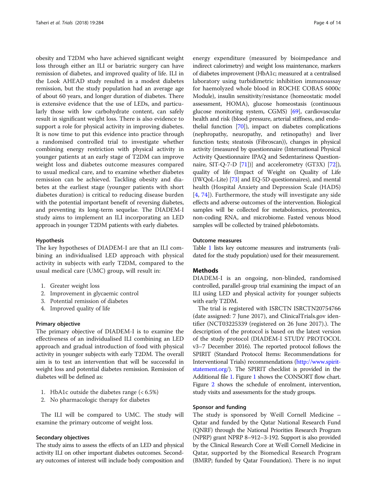obesity and T2DM who have achieved significant weight loss through either an ILI or bariatric surgery can have remission of diabetes, and improved quality of life. ILI in the Look AHEAD study resulted in a modest diabetes remission, but the study population had an average age of about 60 years, and longer duration of diabetes. There is extensive evidence that the use of LEDs, and particularly those with low carbohydrate content, can safely result in significant weight loss. There is also evidence to support a role for physical activity in improving diabetes. It is now time to put this evidence into practice through a randomised controlled trial to investigate whether combining energy restriction with physical activity in younger patients at an early stage of T2DM can improve weight loss and diabetes outcome measures compared to usual medical care, and to examine whether diabetes remission can be achieved. Tackling obesity and diabetes at the earliest stage (younger patients with short diabetes duration) is critical to reducing disease burden with the potential important benefit of reversing diabetes, and preventing its long-term sequelae. The DIADEM-I study aims to implement an ILI incorporating an LED approach in younger T2DM patients with early diabetes.

# Hypothesis

The key hypotheses of DIADEM-I are that an ILI combining an individualised LED approach with physical activity in subjects with early T2DM, compared to the usual medical care (UMC) group, will result in:

- 1. Greater weight loss
- 2. Improvement in glycaemic control
- 3. Potential remission of diabetes
- 4. Improved quality of life

# Primary objective

The primary objective of DIADEM-I is to examine the effectiveness of an individualised ILI combining an LED approach and gradual introduction of food with physical activity in younger subjects with early T2DM. The overall aim is to test an intervention that will be successful in weight loss and potential diabetes remission. Remission of diabetes will be defined as:

- 1. HbA1c outside the diabetes range (< 6.5%)
- 2. No pharmacologic therapy for diabetes

The ILI will be compared to UMC. The study will examine the primary outcome of weight loss.

### Secondary objectives

The study aims to assess the effects of an LED and physical activity ILI on other important diabetes outcomes. Secondary outcomes of interest will include body composition and energy expenditure (measured by bioimpedance and indirect calorimetry) and weight loss maintenance, markers of diabetes improvement (HbA1c; measured at a centralised laboratory using turbidimetric inhibition immunoassay for haemolyzed whole blood in ROCHE COBAS 6000c Module), insulin sensitivity/resistance (homeostatic model assessment, HOMA), glucose homeostasis (continuous glucose monitoring system, CGMS) [\[69\]](#page-12-0), cardiovascular health and risk (blood pressure, arterial stiffness, and endothelial function [\[70\]](#page-12-0)), impact on diabetes complications (nephropathy, neuropathy, and retinopathy) and liver function tests; steatosis (Fibroscan)), changes in physical activity (measured by questionnaire (International Physical Activity Questionnaire IPAQ and Sedentariness Questionnaire, SIT-Q-7-D [\[71](#page-12-0)])] and accelerometry (GT3X) [[72](#page-12-0)]), quality of life (Impact of Weight on Quality of Life (IWQoL-Lite) [[73](#page-12-0)] and EQ-5D questionnaires), and mental health (Hospital Anxiety and Depression Scale (HADS) [[4](#page-11-0), [74](#page-12-0)]). Furthermore, the study will investigate any side effects and adverse outcomes of the intervention. Biological samples will be collected for metabolomics, proteomics, non-coding RNA, and microbiome. Fasted venous blood samples will be collected by trained phlebotomists.

### Outcome measures

Table [1](#page-4-0) lists key outcome measures and instruments (validated for the study population) used for their measurement.

# **Methods**

DIADEM-I is an ongoing, non-blinded, randomised controlled, parallel-group trial examining the impact of an ILI using LED and physical activity for younger subjects with early T2DM.

The trial is registered with ISRCTN ISRCTN20754766 (date assigned: 7 June 2017), and ClinicalTrials.gov identifier (NCT03225339 (registered on 26 June 2017).). The description of the protocol is based on the latest version of the study protocol (DIADEM-I STUDY PROTOCOL v3–7 December 2016). The reported protocol follows the SPIRIT (Standard Protocol Items: Recommendations for Interventional Trials) recommendations [\(http://www.spirit](http://www.spirit-statement.org)[statement.org](http://www.spirit-statement.org)/). The SPIRIT checklist is provided in the Additional file [1.](#page-10-0) Figure [1](#page-5-0) shows the CONSORT flow chart. Figure [2](#page-5-0) shows the schedule of enrolment, intervention, study visits and assessments for the study groups.

#### Sponsor and funding

The study is sponsored by Weill Cornell Medicine – Qatar and funded by the Qatar National Research Fund (QNRF) through the National Priorities Research Program (NPRP) grant NPRP 8–912–3-192. Support is also provided by the Clinical Research Core at Weill Cornell Medicine in Qatar, supported by the Biomedical Research Program (BMRP; funded by Qatar Foundation). There is no input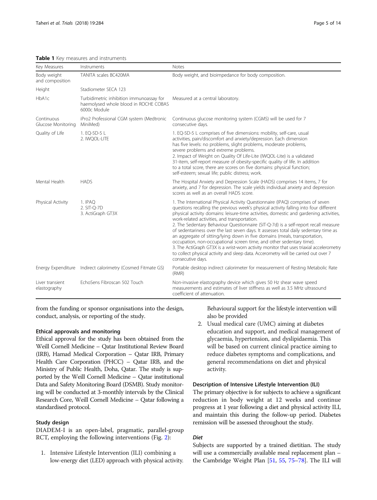| Key Measures                     | Instruments                                                                                       | Notes                                                                                                                                                                                                                                                                                                                                                                                                                                                                                                                                                                                                                                                                                                                                                                                                                                                         |  |  |  |  |  |
|----------------------------------|---------------------------------------------------------------------------------------------------|---------------------------------------------------------------------------------------------------------------------------------------------------------------------------------------------------------------------------------------------------------------------------------------------------------------------------------------------------------------------------------------------------------------------------------------------------------------------------------------------------------------------------------------------------------------------------------------------------------------------------------------------------------------------------------------------------------------------------------------------------------------------------------------------------------------------------------------------------------------|--|--|--|--|--|
| Body weight<br>and composition   | TANITA scales BC420MA                                                                             | Body weight, and bioimpedance for body composition.                                                                                                                                                                                                                                                                                                                                                                                                                                                                                                                                                                                                                                                                                                                                                                                                           |  |  |  |  |  |
| Height                           | Stadiometer SECA 123                                                                              |                                                                                                                                                                                                                                                                                                                                                                                                                                                                                                                                                                                                                                                                                                                                                                                                                                                               |  |  |  |  |  |
| HbA1c                            | Turbidimetric inhibition immunoassay for<br>haemolysed whole blood in ROCHE COBAS<br>6000c Module | Measured at a central laboratory.                                                                                                                                                                                                                                                                                                                                                                                                                                                                                                                                                                                                                                                                                                                                                                                                                             |  |  |  |  |  |
| Continuous<br>Glucose Monitoring | iPro2 Professional CGM system (Medtronic<br>MiniMed)                                              | Continuous glucose monitoring system (CGMS) will be used for 7<br>consecutive days.                                                                                                                                                                                                                                                                                                                                                                                                                                                                                                                                                                                                                                                                                                                                                                           |  |  |  |  |  |
| Quality of Life                  | 1. EQ-5D-5 L<br>2. IWQOL-LITE                                                                     | 1. EQ-5D-5 L comprises of five dimensions: mobility, self-care, usual<br>activities, pain/discomfort and anxiety/depression. Each dimension<br>has five levels: no problems, slight problems, moderate problems,<br>severe problems and extreme problems.<br>2. Impact of Weight on Quality Of Life-Lite (IWQOL-Lite) is a validated<br>31-item, self-report measure of obesity-specific quality of life. In addition<br>to a total score, there are scores on five domains: physical function;<br>self-esteem; sexual life; public distress; work.                                                                                                                                                                                                                                                                                                           |  |  |  |  |  |
| Mental Health                    | <b>HADS</b>                                                                                       | The Hospital Anxiety and Depression Scale (HADS) comprises 14 items, 7 for<br>anxiety, and 7 for depression. The scale yields individual anxiety and depression<br>scores as well as an overall HADS score.                                                                                                                                                                                                                                                                                                                                                                                                                                                                                                                                                                                                                                                   |  |  |  |  |  |
| Physical Activity                | 1. IPAQ<br>2. SIT-O-7D<br>3. ActiGraph GT3X                                                       | 1. The International Physical Activity Questionnaire (IPAQ) comprises of seven<br>questions recalling the previous week's physical activity falling into four different<br>physical activity domains: leisure-time activities, domestic and gardening activities,<br>work-related activities, and transportation.<br>2. The Sedentary Behaviour Questionnaire (SIT-Q-7d) is a self-report recall measure<br>of sedentariness over the last seven days. It assesses total daily sedentary time as<br>an aggregate of sitting/lying down in five domains (meals, transportation,<br>occupation, non-occupational screen time, and other sedentary time).<br>3. The ActiGraph GT3X is a wrist-worn activity monitor that uses triaxial accelerometry<br>to collect physical activity and sleep data. Accerometry will be carried out over 7<br>consecutive days. |  |  |  |  |  |
|                                  | Energy Expenditure Indirect calorimetry (Cosmed Fitmate GS)                                       | Portable desktop indirect calorimeter for measurement of Resting Metabolic Rate<br>(RMR)                                                                                                                                                                                                                                                                                                                                                                                                                                                                                                                                                                                                                                                                                                                                                                      |  |  |  |  |  |
| Liver transient<br>elastography  | EchoSens Fibroscan 502 Touch                                                                      | Non-invasive elastography device which gives 50 Hz shear wave speed<br>measurements and estimates of liver stiffness as well as 3.5 MHz ultrasound<br>coefficient of attenuation.                                                                                                                                                                                                                                                                                                                                                                                                                                                                                                                                                                                                                                                                             |  |  |  |  |  |

<span id="page-4-0"></span>Table 1 Key measures and instruments

from the funding or sponsor organisations into the design, conduct, analysis, or reporting of the study.

# Ethical approvals and monitoring

Ethical approval for the study has been obtained from the Weill Cornell Medicine – Qatar Institutional Review Board (IRB), Hamad Medical Corporation – Qatar IRB, Primary Health Care Corporation (PHCC) – Qatar IRB, and the Ministry of Public Health, Doha, Qatar. The study is supported by the Weill Cornell Medicine – Qatar institutional Data and Safety Monitoring Board (DSMB). Study monitoring will be conducted at 3-monthly intervals by the Clinical Research Core, Weill Cornell Medicine – Qatar following a standardised protocol.

# Study design

DIADEM-I is an open-label, pragmatic, parallel-group RCT, employing the following interventions (Fig. [2\)](#page-5-0):

1. Intensive Lifestyle Intervention (ILI) combining a low-energy diet (LED) approach with physical activity. Behavioural support for the lifestyle intervention will also be provided

2. Usual medical care (UMC) aiming at diabetes education and support, and medical management of glycaemia, hypertension, and dyslipidaemia. This will be based on current clinical practice aiming to reduce diabetes symptoms and complications, and general recommendations on diet and physical activity.

# Description of Intensive Lifestyle Intervention (ILI)

The primary objective is for subjects to achieve a significant reduction in body weight at 12 weeks and continue progress at 1 year following a diet and physical activity ILI, and maintain this during the follow-up period. Diabetes remission will be assessed throughout the study.

# Diet

Subjects are supported by a trained dietitian. The study will use a commercially available meal replacement plan – the Cambridge Weight Plan [[51](#page-12-0), [55](#page-12-0), [75](#page-12-0)–[78](#page-13-0)]. The ILI will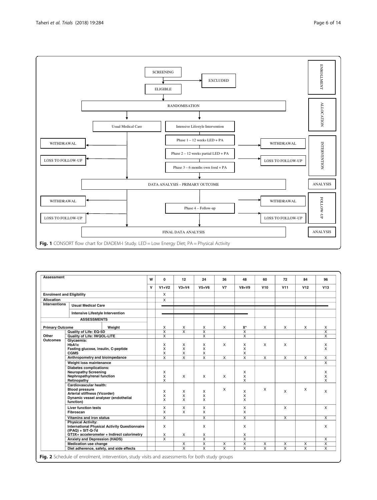<span id="page-5-0"></span>

| <b>Assessment</b>                |                                                      | W | 0                       | 12                      | 24                      | 36                      | 48                      | 60                      | 72                      | 84                      | 96                      |
|----------------------------------|------------------------------------------------------|---|-------------------------|-------------------------|-------------------------|-------------------------|-------------------------|-------------------------|-------------------------|-------------------------|-------------------------|
|                                  |                                                      | v | $V1+V2$                 | $V3+V4$                 | $V5+V6$                 | V7                      | $V8+V9$                 | V10                     | V <sub>11</sub>         | V12                     | V13                     |
| <b>Enrolment and Eligibility</b> |                                                      |   | $\mathsf{x}$            |                         |                         |                         |                         |                         |                         |                         |                         |
| Allocation                       |                                                      |   | $\overline{\mathsf{x}}$ |                         |                         |                         |                         |                         |                         |                         |                         |
| <b>Interventions</b>             | <b>Usual Medical Care</b>                            |   |                         |                         |                         |                         |                         |                         |                         |                         |                         |
|                                  | <b>Intensive Lifestyle Intervention</b>              |   |                         |                         |                         |                         |                         |                         |                         |                         |                         |
|                                  | <b>ASSESSMENTS</b>                                   |   |                         |                         |                         |                         |                         |                         |                         |                         |                         |
| <b>Primary Outcome</b>           | Weight                                               |   | $\times$                | X                       | X                       | $\times$                | $X^*$                   | X                       | X                       | X                       | $\times$                |
| Other<br><b>Outcomes</b>         | Quality of Life: EQ-5D                               |   | $\overline{\mathsf{x}}$ | $\overline{\mathsf{x}}$ | $\overline{\mathsf{x}}$ |                         | $\overline{\mathsf{x}}$ |                         |                         |                         | $\overline{\mathsf{x}}$ |
|                                  | Quality of Life: IWQOL-LITE                          |   | X                       |                         | $\overline{x}$          |                         | $\overline{x}$          |                         |                         |                         | X                       |
|                                  | Glycaemia:                                           |   |                         |                         |                         |                         |                         |                         |                         |                         |                         |
|                                  | HbA1c                                                |   | X                       | X                       | X                       | X                       | X                       | $\mathsf{X}$            | X                       |                         | X                       |
|                                  | Fasting glucose, insulin, C-peptide                  |   | X                       | X                       | X                       |                         | X                       |                         |                         |                         | X                       |
|                                  | <b>CGMS</b>                                          |   | X                       | X                       | X                       |                         | X                       |                         |                         |                         |                         |
|                                  | Anthropometry and bioimpedance                       |   | $\overline{\mathsf{x}}$ | $\overline{\mathsf{x}}$ | $\overline{\mathsf{x}}$ | $\overline{\mathsf{x}}$ | $\overline{\mathsf{x}}$ | $\overline{\mathsf{x}}$ | $\overline{\mathsf{x}}$ | $\overline{\mathsf{x}}$ | $\overline{X}$          |
|                                  | Weight loss maintenance                              |   |                         |                         |                         |                         |                         |                         |                         |                         | $\mathsf{X}$            |
|                                  | <b>Diabetes complications:</b>                       |   |                         |                         |                         |                         |                         |                         |                         |                         |                         |
|                                  | <b>Neuropathy Screening</b>                          |   | X                       |                         |                         |                         | X                       |                         |                         |                         | X                       |
|                                  | Nephropathy/renal function                           |   | X                       | X                       | $\times$                | $\times$                | X                       |                         |                         |                         | X                       |
|                                  | Retinopathy                                          |   | X                       |                         |                         |                         | X                       |                         |                         |                         | X                       |
|                                  | Cardiovascular health:                               |   |                         |                         |                         |                         |                         |                         |                         |                         |                         |
|                                  | <b>Blood pressure</b>                                |   | X                       | X                       | X                       | X                       | X                       | X                       | X                       | X                       | X                       |
|                                  | Arterial stiffness (Vicorder)                        |   | X                       | X                       | X                       |                         | Χ                       |                         |                         |                         |                         |
|                                  | Dynamic vessel analyser (endothelial                 |   | X                       | X                       | X                       |                         | X                       |                         |                         |                         |                         |
|                                  | function)                                            |   |                         |                         |                         |                         |                         |                         |                         |                         |                         |
|                                  | <b>Liver function tests</b>                          |   | X                       | X                       | X                       |                         | X                       |                         | X                       |                         | $\mathsf{x}$            |
|                                  | Fibroscan                                            |   | $\times$                | X                       | X                       |                         | X                       |                         |                         |                         |                         |
|                                  | Vitamins and iron status                             |   | $\overline{x}$          |                         | $\overline{x}$          |                         | $\overline{x}$          |                         | $\overline{x}$          |                         | $\overline{x}$          |
|                                  | <b>Physical Activity:</b>                            |   |                         |                         |                         |                         |                         |                         |                         |                         |                         |
|                                  | <b>International Physical Activity Questionnaire</b> |   | $\mathsf{x}$            |                         | X                       |                         | X                       |                         |                         |                         | X                       |
|                                  | $(IPAQ) + SIT-Q-7d$                                  |   |                         |                         |                         |                         |                         |                         |                         |                         |                         |
|                                  | GT3X+ accelerometer + Indirect calorimetry           |   | X                       | X                       | X                       |                         | X                       |                         |                         |                         |                         |
|                                  | <b>Anxiety and Depression (HADS)</b>                 |   | $\overline{\mathsf{x}}$ |                         | $\overline{X}$          |                         | $\overline{\mathsf{x}}$ |                         |                         |                         | $\overline{X}$          |
|                                  | <b>Medication use change</b>                         |   |                         | X                       | $\overline{\mathsf{x}}$ | X                       | $\overline{\mathsf{x}}$ | $\overline{\mathsf{x}}$ | $\overline{X}$          | $\overline{\mathsf{x}}$ | $\overline{X}$          |
|                                  | Diet adherence, safety, and side effects             |   |                         | $\overline{\mathsf{x}}$ | $\overline{\mathsf{x}}$ | $\overline{\mathsf{x}}$ | $\overline{x}$          | $\overline{\mathsf{x}}$ | $\overline{x}$          | $\overline{x}$          | $\overline{\mathsf{x}}$ |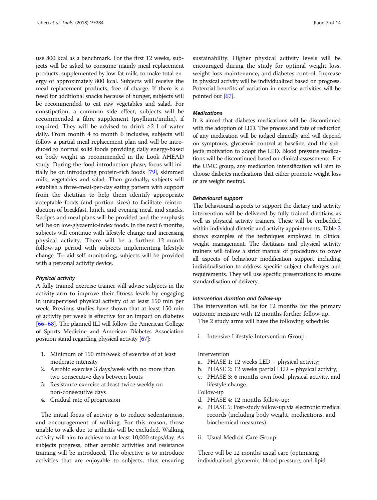use 800 kcal as a benchmark. For the first 12 weeks, subjects will be asked to consume mainly meal replacement products, supplemented by low-fat milk, to make total energy of approximately 800 kcal. Subjects will receive the meal replacement products, free of charge. If there is a need for additional snacks because of hunger, subjects will be recommended to eat raw vegetables and salad. For constipation, a common side effect, subjects will be recommended a fibre supplement (psyllium/inulin), if required. They will be advised to drink ≥2 l of water daily. From month 4 to month 6 inclusive, subjects will follow a partial meal replacement plan and will be introduced to normal solid foods providing daily energy-based on body weight as recommended in the Look AHEAD study. During the food introduction phase, focus will initially be on introducing protein-rich foods [[79](#page-13-0)], skimmed milk, vegetables and salad. Then gradually, subjects will establish a three-meal-per-day eating pattern with support from the dietitian to help them identify appropriate acceptable foods (and portion sizes) to facilitate reintroduction of breakfast, lunch, and evening meal, and snacks. Recipes and meal plans will be provided and the emphasis will be on low-glycaemic-index foods. In the next 6 months, subjects will continue with lifestyle change and increasing physical activity. There will be a further 12-month follow-up period with subjects implementing lifestyle change. To aid self-monitoring, subjects will be provided with a personal activity device.

#### Physical activity

A fully trained exercise trainer will advise subjects in the activity arm to improve their fitness levels by engaging in unsupervised physical activity of at least 150 min per week. Previous studies have shown that at least 150 min of activity per week is effective for an impact on diabetes [[66](#page-12-0)–[68](#page-12-0)]. The planned ILI will follow the American College of Sports Medicine and American Diabetes Association position stand regarding physical activity [\[67\]](#page-12-0):

- 1. Minimum of 150 min/week of exercise of at least moderate intensity
- 2. Aerobic exercise 3 days/week with no more than two consecutive days between bouts
- 3. Resistance exercise at least twice weekly on non-consecutive days
- 4. Gradual rate of progression

The initial focus of activity is to reduce sedentariness, and encouragement of walking. For this reason, those unable to walk due to arthritis will be excluded. Walking activity will aim to achieve to at least 10,000 steps/day. As subjects progress, other aerobic activities and resistance training will be introduced. The objective is to introduce activities that are enjoyable to subjects, thus ensuring sustainability. Higher physical activity levels will be encouraged during the study for optimal weight loss, weight loss maintenance, and diabetes control. Increase in physical activity will be individualized based on progress. Potential benefits of variation in exercise activities will be pointed out [\[67\]](#page-12-0).

# Medications

It is aimed that diabetes medications will be discontinued with the adoption of LED. The process and rate of reduction of any medication will be judged clinically and will depend on symptoms, glycaemic control at baseline, and the subject's motivation to adopt the LED. Blood pressure medications will be discontinued based on clinical assessments. For the UMC group, any medication intensification will aim to choose diabetes medications that either promote weight loss or are weight neutral.

### Behavioural support

The behavioural aspects to support the dietary and activity intervention will be delivered by fully trained dietitians as well as physical activity trainers. These will be embedded within individual dietetic and activity appointments. Table [2](#page-7-0) shows examples of the techniques employed in clinical weight management. The dietitians and physical activity trainers will follow a strict manual of procedures to cover all aspects of behaviour modification support including individualisation to address specific subject challenges and requirements. They will use specific presentations to ensure standardisation of delivery.

#### Intervention duration and follow-up

The intervention will be for 12 months for the primary outcome measure with 12 months further follow-up.

The 2 study arms will have the following schedule:

i. Intensive Lifestyle Intervention Group:

### Intervention

- a. PHASE 1: 12 weeks LED + physical activity;
- b. PHASE 2: 12 weeks partial LED  $+$  physical activity;
- c. PHASE 3: 6 months own food, physical activity, and lifestyle change.

# Follow-up

- d. PHASE 4: 12 months follow-up;
- e. PHASE 5: Post-study follow-up via electronic medical records (including body weight, medications, and biochemical measures).
- ii. Usual Medical Care Group:

There will be 12 months usual care (optimising individualised glycaemic, blood pressure, and lipid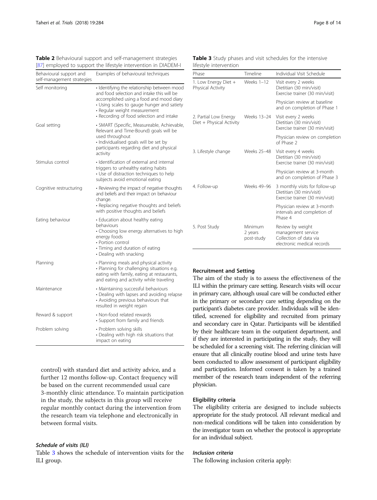| Behavioural support and<br>self-management strategies | Examples of behavioural techniques                                                                                                                                                                                                                              |  |  |  |  |  |
|-------------------------------------------------------|-----------------------------------------------------------------------------------------------------------------------------------------------------------------------------------------------------------------------------------------------------------------|--|--|--|--|--|
| Self monitoring                                       | · Identifying the relationship between mood<br>and food selection and intake this will be<br>accomplished using a food and mood diary<br>• Using scales to gauge hunger and satiety<br>· Regular weight measurement<br>• Recording of food selection and intake |  |  |  |  |  |
| Goal setting                                          | · SMART (Specific, Measureable, Achievable,<br>Relevant and Time-Bound) goals will be<br>used throughout<br>· Individualised goals will be set by<br>participants regarding diet and physical<br>activity                                                       |  |  |  |  |  |
| Stimulus control                                      | · Identification of external and internal<br>triggers to unhealthy eating habits<br>• Use of distraction techniques to help<br>subjects avoid emotional eating                                                                                                  |  |  |  |  |  |
| Cognitive restructuring                               | • Reviewing the impact of negative thoughts<br>and beliefs and their impact on behaviour<br>change.<br>• Replacing negative thoughts and beliefs<br>with positive thoughts and beliefs                                                                          |  |  |  |  |  |
| Eating behaviour                                      | • Education about healthy eating<br>behaviours<br>• Choosing low energy alternatives to high<br>energy foods<br>• Portion control<br>· Timing and duration of eating<br>• Dealing with snacking                                                                 |  |  |  |  |  |
| Planning                                              | • Planning meals and physical activity<br>· Planning for challenging situations e.g.<br>eating with family, eating at restaurants,<br>and eating and activity while traveling                                                                                   |  |  |  |  |  |
| Maintenance                                           | • Maintaining successful behaviours<br>• Dealing with lapses and avoiding relapse<br>• Avoiding previous behaviours that<br>resulted in weight regain                                                                                                           |  |  |  |  |  |
| Reward & support                                      | • Non-food related rewards<br>• Support from family and friends                                                                                                                                                                                                 |  |  |  |  |  |
| Problem solving                                       | • Problem solving skills<br>• Dealing with high risk situations that<br>impact on eating                                                                                                                                                                        |  |  |  |  |  |

<span id="page-7-0"></span>Table 2 Behavioural support and self-management strategies [\[87\]](#page-13-0) employed to support the lifestyle intervention in DIADEM-I

control) with standard diet and activity advice, and a further 12 months follow-up. Contact frequency will be based on the current recommended usual care 3-monthly clinic attendance. To maintain participation in the study, the subjects in this group will receive regular monthly contact during the intervention from the research team via telephone and electronically in between formal visits.

# Schedule of visits (ILI)

Table 3 shows the schedule of intervention visits for the ILI group.

Phase Timeline Individual Visit Schedule 1. Low Energy Diet + Physical Activity Weeks 1-12 Visit every 2 weeks Dietitian (30 min/visit) Exercise trainer (30 min/visit) Physician review at baseline and on completion of Phase 1 2. Partial Low Energy Diet + Physical Activity Weeks 13–24 Visit every 2 weeks Dietitian (30 min/visit) Exercise trainer (30 min/visit) Physician review on completion of Phase 2 3. Lifestyle change Weeks 25–48 Visit every 4 weeks Dietitian (30 min/visit) Exercise trainer (30 min/visit) Physician review at 3-month and on completion of Phase 3 4. Follow-up Weeks 49–96 3 monthly visits for follow-up Dietitian (30 min/visit) Exercise trainer (30 min/visit) Physician review at 3-month intervals and completion of Phase 4 5. Post Study Minimum 2 years post-study Review by weight management service Collection of data via electronic medical records

# Table 3 Study phases and visit schedules for the intensive lifestyle intervention

# Recruitment and Setting

The aim of the study is to assess the effectiveness of the ILI within the primary care setting. Research visits will occur in primary care, although usual care will be conducted either in the primary or secondary care setting depending on the participant's diabetes care provider. Individuals will be identified, screened for eligibility and recruited from primary and secondary care in Qatar. Participants will be identified by their healthcare team in the outpatient department, and if they are interested in participating in the study, they will be scheduled for a screening visit. The referring clinician will ensure that all clinically routine blood and urine tests have been conducted to allow assessment of participant eligibility and participation. Informed consent is taken by a trained member of the research team independent of the referring physician.

# Eligibility criteria

The eligibility criteria are designed to include subjects appropriate for the study protocol. All relevant medical and non-medical conditions will be taken into consideration by the investigator team on whether the protocol is appropriate for an individual subject.

# Inclusion criteria

The following inclusion criteria apply: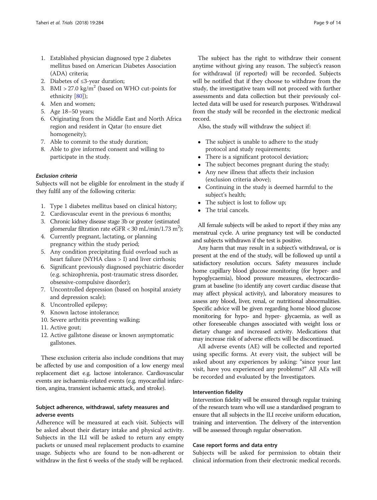- 1. Established physician diagnosed type 2 diabetes mellitus based on American Diabetes Association (ADA) criteria;
- 2. Diabetes of ≤3-year duration;
- 3. BMI > 27.0 kg/m<sup>2</sup> (based on WHO cut-points for ethnicity [\[80\]](#page-13-0));
- 4. Men and women;
- 5. Age 18–50 years;
- 6. Originating from the Middle East and North Africa region and resident in Qatar (to ensure diet homogeneity);
- 7. Able to commit to the study duration;
- 8. Able to give informed consent and willing to participate in the study.

# Exclusion criteria

Subjects will not be eligible for enrolment in the study if they fulfil any of the following criteria:

- 1. Type 1 diabetes mellitus based on clinical history;
- 2. Cardiovascular event in the previous 6 months;
- 3. Chronic kidney disease stage 3b or greater (estimated glomerular filtration rate eGFR <  $30$  mL/min/1.73 m<sup>2</sup>);
- 4. Currently pregnant, lactating, or planning pregnancy within the study period;
- 5. Any condition precipitating fluid overload such as heart failure (NYHA class > I) and liver cirrhosis;
- 6. Significant previously diagnosed psychiatric disorder (e.g. schizophrenia, post-traumatic stress disorder, obsessive-compulsive disorder);
- 7. Uncontrolled depression (based on hospital anxiety and depression scale);
- 8. Uncontrolled epilepsy;
- 9. Known lactose intolerance;
- 10. Severe arthritis preventing walking;
- 11. Active gout;
- 12. Active gallstone disease or known asymptomatic gallstones.

These exclusion criteria also include conditions that may be affected by use and composition of a low energy meal replacement diet e.g. lactose intolerance. Cardiovascular events are ischaemia-related events (e.g. myocardial infarction, angina, transient ischaemic attack, and stroke).

# Subject adherence, withdrawal, safety measures and adverse events

Adherence will be measured at each visit. Subjects will be asked about their dietary intake and physical activity. Subjects in the ILI will be asked to return any empty packets or unused meal replacement products to examine usage. Subjects who are found to be non-adherent or withdraw in the first 6 weeks of the study will be replaced.

The subject has the right to withdraw their consent anytime without giving any reason. The subject's reason for withdrawal (if reported) will be recorded. Subjects will be notified that if they choose to withdraw from the study, the investigative team will not proceed with further assessments and data collection but their previously collected data will be used for research purposes. Withdrawal from the study will be recorded in the electronic medical record.

Also, the study will withdraw the subject if:

- The subject is unable to adhere to the study protocol and study requirements;
- There is a significant protocol deviation;
- The subject becomes pregnant during the study;
- Any new illness that affects their inclusion (exclusion criteria above);
- Continuing in the study is deemed harmful to the subject's health;
- The subject is lost to follow up;
- The trial cancels.

All female subjects will be asked to report if they miss any menstrual cycle. A urine pregnancy test will be conducted and subjects withdrawn if the test is positive.

Any harm that may result in a subject's withdrawal, or is present at the end of the study, will be followed up until a satisfactory resolution occurs. Safety measures include home capillary blood glucose monitoring (for hyper- and hypoglycaemia), blood pressure measures, electrocardiogram at baseline (to identify any covert cardiac disease that may affect physical activity), and laboratory measures to assess any blood, liver, renal, or nutritional abnormalities. Specific advice will be given regarding home blood glucose monitoring for hypo- and hyper- glycaemia, as well as other foreseeable changes associated with weight loss or dietary change and increased activity. Medications that may increase risk of adverse effects will be discontinued.

All adverse events (AE) will be collected and reported using specific forms. At every visit, the subject will be asked about any experiences by asking: "since your last visit, have you experienced any problems?" All AEs will be recorded and evaluated by the Investigators.

# Intervention fidelity

Intervention fidelity will be ensured through regular training of the research team who will use a standardised program to ensure that all subjects in the ILI receive uniform education, training and intervention. The delivery of the intervention will be assessed through regular observation.

# Case report forms and data entry

Subjects will be asked for permission to obtain their clinical information from their electronic medical records.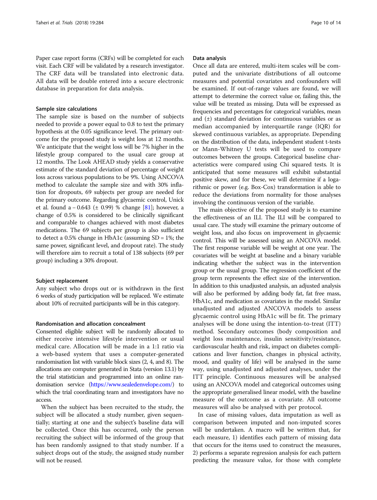Paper case report forms (CRFs) will be completed for each visit. Each CRF will be validated by a research investigator. The CRF data will be translated into electronic data. All data will be double entered into a secure electronic database in preparation for data analysis.

#### Sample size calculations

The sample size is based on the number of subjects needed to provide a power equal to 0.8 to test the primary hypothesis at the 0.05 significance level. The primary outcome for the proposed study is weight loss at 12 months. We anticipate that the weight loss will be 7% higher in the lifestyle group compared to the usual care group at 12 months. The Look AHEAD study yields a conservative estimate of the standard deviation of percentage of weight loss across various populations to be 9%. Using ANCOVA method to calculate the sample size and with 30% inflation for dropouts, 69 subjects per group are needed for the primary outcome. Regarding glycaemic control, Unick et al. found a − 0.643 ( $\pm$  0.99) % change [[81](#page-13-0)]; however, a change of 0.5% is considered to be clinically significant and comparable to changes achieved with most diabetes medications. The 69 subjects per group is also sufficient to detect a 0.5% change in HbA1c (assuming  $SD = 1\%$ ; the same power, significant level, and dropout rate). The study will therefore aim to recruit a total of 138 subjects (69 per group) including a 30% dropout.

### Subject replacement

Any subject who drops out or is withdrawn in the first 6 weeks of study participation will be replaced. We estimate about 10% of recruited participants will be in this category.

### Randomisation and allocation concealment

Consented eligible subject will be randomly allocated to either receive intensive lifestyle intervention or usual medical care. Allocation will be made in a 1:1 ratio via a web-based system that uses a computer-generated randomisation list with variable block sizes (2, 4, and 8). The allocations are computer generated in Stata (version 13.1) by the trial statistician and programmed into an online randomisation service [\(https://www.sealedenvelope.com/](https://www.sealedenvelope.com/)) to which the trial coordinating team and investigators have no access.

When the subject has been recruited to the study, the subject will be allocated a study number, given sequentially; starting at one and the subject's baseline data will be collected. Once this has occurred, only the person recruiting the subject will be informed of the group that has been randomly assigned to that study number. If a subject drops out of the study, the assigned study number will not be reused.

#### Data analysis

Once all data are entered, multi-item scales will be computed and the univariate distributions of all outcome measures and potential covariates and confounders will be examined. If out-of-range values are found, we will attempt to determine the correct value or, failing this, the value will be treated as missing. Data will be expressed as frequencies and percentages for categorical variables, mean and  $(\pm)$  standard deviation for continuous variables or as median accompanied by interquartile range (IQR) for skewed continuous variables, as appropriate. Depending on the distribution of the data, independent student t-tests or Mann-Whitney U tests will be used to compare outcomes between the groups. Categorical baseline characteristics were compared using Chi squared tests. It is anticipated that some measures will exhibit substantial positive skew, and for these, we will determine if a logarithmic or power (e.g. Box-Cox) transformation is able to reduce the deviations from normality for those analyses involving the continuous version of the variable.

The main objective of the proposed study is to examine the effectiveness of an ILI. The ILI will be compared to usual care. The study will examine the primary outcome of weight loss, and also focus on improvement in glycaemic control. This will be assessed using an ANCOVA model. The first response variable will be weight at one year. The covariates will be weight at baseline and a binary variable indicating whether the subject was in the intervention group or the usual group. The regression coefficient of the group term represents the effect size of the intervention. In addition to this unadjusted analysis, an adjusted analysis will also be performed by adding body fat, fat free mass, HbA1c, and medication as covariates in the model. Similar unadjusted and adjusted ANCOVA models to assess glycaemic control using HbA1c will be fit. The primary analyses will be done using the intention-to-treat (ITT) method. Secondary outcomes (body composition and weight loss maintenance, insulin sensitivity/resistance, cardiovascular health and risk, impact on diabetes complications and liver function, changes in physical activity, mood, and quality of life) will be analysed in the same way, using unadjusted and adjusted analyses, under the ITT principle. Continuous measures will be analysed using an ANCOVA model and categorical outcomes using the appropriate generalised linear model, with the baseline measure of the outcome as a covariate. All outcome measures will also be analysed with per protocol.

In case of missing values, data imputation as well as comparison between imputed and non-imputed scores will be undertaken. A macro will be written that, for each measure, 1) identifies each pattern of missing data that occurs for the items used to construct the measures, 2) performs a separate regression analysis for each pattern predicting the measure value, for those with complete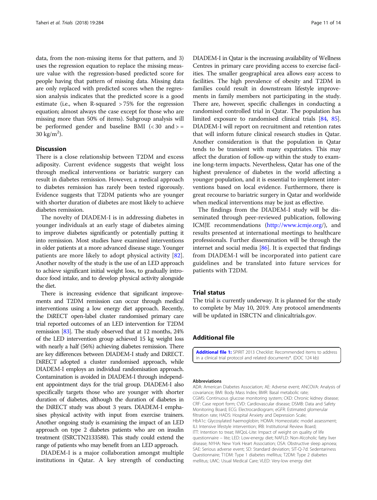<span id="page-10-0"></span>data, from the non-missing items for that pattern, and 3) uses the regression equation to replace the missing measure value with the regression-based predicted score for people having that pattern of missing data. Missing data are only replaced with predicted scores when the regression analysis indicates that the predicted score is a good estimate (i.e., when R-squared > 75% for the regression equation; almost always the case except for those who are missing more than 50% of items). Subgroup analysis will be performed gender and baseline BMI  $\langle$  < 30 and > =  $30 \text{ kg/m}^2$ ).

# **Discussion**

There is a close relationship between T2DM and excess adiposity. Current evidence suggests that weight loss through medical interventions or bariatric surgery can result in diabetes remission. However, a medical approach to diabetes remission has rarely been tested rigorously. Evidence suggests that T2DM patients who are younger with shorter duration of diabetes are most likely to achieve diabetes remission.

The novelty of DIADEM-I is in addressing diabetes in younger individuals at an early stage of diabetes aiming to improve diabetes significantly or potentially putting it into remission. Most studies have examined interventions in older patients at a more advanced disease stage. Younger patients are more likely to adopt physical activity [\[82](#page-13-0)]. Another novelty of the study is the use of an LED approach to achieve significant initial weight loss, to gradually introduce food intake, and to develop physical activity alongside the diet.

There is increasing evidence that significant improvements and T2DM remission can occur through medical interventions using a low energy diet approach. Recently, the DiRECT open-label cluster randomised primary care trial reported outcomes of an LED intervention for T2DM remission [\[83](#page-13-0)]. The study observed that at 12 months, 24% of the LED intervention group achieved 15 kg weight loss with nearly a half (56%) achieving diabetes remission. There are key differences between DIADEM-I study and DiRECT. DiRECT adopted a cluster randomised approach, while DIADEM-I employs an individual randomisation approach. Contamination is avoided in DIADEM-I through independent appointment days for the trial group. DIADEM-I also specifically targets those who are younger with shorter duration of diabetes, although the duration of diabetes in the DiRECT study was about 3 years. DIADEM-I emphasises physical activity with input from exercise trainers. Another ongoing study is examining the impact of an LED approach on type 2 diabetes patients who are on insulin treatment (ISRCTN2133588). This study could extend the range of patients who may benefit from an LED approach.

DIADEM-I is a major collaboration amongst multiple institutions in Qatar. A key strength of conducting DIADEM-I in Qatar is the increasing availability of Wellness Centres in primary care providing access to exercise facilities. The smaller geographical area allows easy access to facilities. The high prevalence of obesity and T2DM in families could result in downstream lifestyle improvements in family members not participating in the study. There are, however, specific challenges in conducting a randomised controlled trial in Qatar. The population has limited exposure to randomised clinical trials [[84](#page-13-0), [85](#page-13-0)]. DIADEM-I will report on recruitment and retention rates that will inform future clinical research studies in Qatar. Another consideration is that the population in Qatar tends to be transient with many expatriates. This may affect the duration of follow-up within the study to examine long-term impacts. Nevertheless, Qatar has one of the highest prevalence of diabetes in the world affecting a younger population, and it is essential to implement interventions based on local evidence. Furthermore, there is great recourse to bariatric surgery in Qatar and worldwide when medical interventions may be just as effective.

The findings from the DIADEM-I study will be disseminated through peer-reviewed publication, following ICMJE recommendations (<http://www.icmje.org>/), and results presented at international meetings to healthcare professionals. Further dissemination will be through the internet and social media  $[86]$ . It is expected that findings from DIADEM-I will be incorporated into patient care guidelines and be translated into future services for patients with T2DM.

# Trial status

The trial is currently underway. It is planned for the study to complete by May 10, 2019. Any protocol amendments will be updated in ISRCTN and clinicaltrials.gov.

# Additional file

[Additional file 1:](https://doi.org/10.1186/s13063-018-2660-1) SPIRIT 2013 Checklist: Recommended items to address in a clinical trial protocol and related documents\*. (DOC 124 kb)

#### Abbreviations

ADA: American Diabetes Association; AE: Adverse event; ANCOVA: Analysis of covariance; BMI: Body Mass Index; BMR: Basal metabolic rate; CGMS: Continuous glucose monitoring system; CKD: Chronic kidney disease; CRF: Case report form; CVD: Cardiovascular disease; DSMB: Data and Safety Monitoring Board; ECG: Electrocardiogram; eGFR: Estimated glomerular filtration rate; HADS: Hospital Anxiety and Depression Scale; HbA1c: Glycosylated haemoglobin; HOMA: Homeostatic model assessment; ILI: Intensive lifestyle intervention; IRB: Institutional Review Board; ITT: Intention to treat; IWQoL-Lite: Impact of weight on quality of life questionnaire – lite; LED: Low-energy diet; NAFLD: Non-Alcoholic fatty liver disease; NYHA: New York Heart Association; OSA: Obstructive sleep apnoea; SAE: Serious adverse event; SD: Standard deviation; SIT-Q-7d: Sedentariness Questionnaire; T1DM: Type 1 diabetes mellitus; T2DM: Type 2 diabetes mellitus; UMC: Usual Medical Care; VLED: Very-low energy diet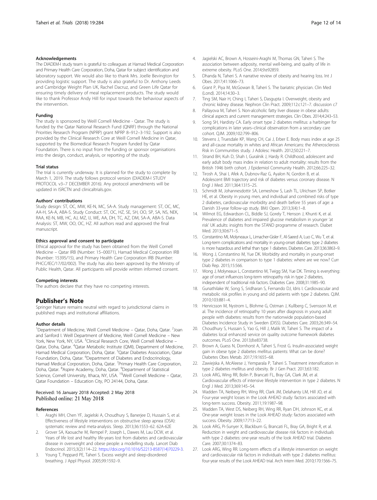### <span id="page-11-0"></span>Acknowledgements

The DIADEM-I study team is grateful to colleagues at Hamad Medical Corporation and Primary Health Care Corporation, Doha, Qatar for subject identification and laboratory support. We would also like to thank Mrs. Joelle Bevington for providing logistic support. The study is also grateful to Dr. Anthony Leeds and Cambridge Weight Plan UK, Rachel Dacruz, and Green Life Qatar for ensuring timely delivery of meal replacement products. The study would like to thank Professor Andy Hill for input towards the behaviour aspects of the intervention.

### Funding

The study is sponsored by Weill Cornell Medicine - Qatar. The study is funded by the Qatar National Research Fund (QNRF) through the National Priorities Research Program (NPRP) grant NPRP 8–912–3-192. Support is also provided by the Clinical Research Core at Weill Cornell Medicine in Qatar, supported by the Biomedical Research Program funded by Qatar Foundation. There is no input from the funding or sponsor organisations into the design, conduct, analysis, or reporting of the study.

#### Trial status

The trial is currently underway. It is planned for the study to complete by March 1, 2019. The study follows protocol version (DIADEM-I STUDY PROTOCOL v3–7 DECEMBER 2016). Any protocol amendments will be updated in ISRCTN and clinicaltrials.gov.

#### Authors' contributions

Study design: ST, OC, MW, KE-N, MC, SA-A. Study management: ST, OC, MC, AA-H, SA-A, ABA-S. Study Conduct: ST, OC, HZ, SE, SH, OO, SP, SA, NS, NEK, RAA, KE-N, MB, HC, AJ, MZ, IJ, WE, AA, DH, TC, AZ, DM, SA-A, ABA-S. Data Analysis: ST, MW, OO, OC, HZ. All authors read and approved the final manuscript.

#### Ethics approval and consent to participate

Ethical approval for the study has been obtained from the Weill Cornell Medicine – Qatar IRB (Number: 15–00071), Hamad Medical Corporation IRB (Number: 15395/15), and Primary Health Care Corporation IRB (Number: PHCC/IEC/17/02/002). The study has also been approved by the Ministry of Public Health, Qatar. All participants will provide written informed consent.

#### Competing interests

The authors declare that they have no competing interests.

# Publisher's Note

Springer Nature remains neutral with regard to jurisdictional claims in published maps and institutional affiliations.

#### Author details

<sup>1</sup>Department of Medicine, Weill Cornell Medicine - Qatar, Doha, Qatar. <sup>2</sup>Joan and Sanford I. Weill Department of Medicine, Weill Cornell Medicine – New York, New York, NY, USA. <sup>3</sup>Clinical Research Core, Weill Cornell Medicine -Qatar, Doha, Qatar. <sup>4</sup>Qatar Metabolic Institute (QMI), Department of Medicine, Hamad Medical Corporation, Doha, Qatar. <sup>5</sup>Qatar Diabetes Association, Qatar Foundation, Doha, Qatar. <sup>6</sup>Department of Diabetes and Endocrinology, Hamad Medical Corporation, Doha, Qatar. <sup>7</sup>Primary Health Care Corporation, Doha, Qatar. <sup>8</sup>Aspire Academy, Doha, Qatar. <sup>9</sup>Department of Statistical Science, Cornell University, Ithaca, NY, USA. <sup>10</sup>Weill Cornell Medicine – Qatar, Qatar Foundation – Education City, PO 24144, Doha, Qatar.

#### Received: 16 January 2018 Accepted: 2 May 2018 Published online: 21 May 2018

#### References

- 1. Araghi MH, Chen YF, Jagielski A, Choudhury S, Banerjee D, Hussain S, et al. Effectiveness of lifestyle interventions on obstructive sleep apnea (OSA): systematic review and meta-analysis. Sleep. 2013;36:1553–62. 62A-62E
- 2. Grover SA, Kaouache M, Rempel P, Joseph L, Dawes M, Lau DCW, et al. Years of life lost and healthy life-years lost from diabetes and cardiovascular disease in overweight and obese people: a modelling study. Lancet Diab Endocrinol. 2015;3(2):114–22. [https://doi.org/10.1016/S2213-8587\(14\)70229-3.](https://doi.org/10.1016/S2213-8587(14)70229-3)
- Young T, Peppard PE, Taheri S. Excess weight and sleep-disordered breathing. J Appl Physiol. 2005;99:1592–9.
- 4. Jagielski AC, Brown A, Hosseini-Araghi M, Thomas GN, Taheri S. The association between adiposity, mental well-being, and quality of life in extreme obesity. PLoS One. 2014;9:e92859.
- 5. Dhanda N, Taheri S. A narrative review of obesity and hearing loss. Int J Obes. 2017;41:1066–73.
- 6. Grant P, Piya M, McGowan B, Taheri S. The bariatric physician. Clin Med (Lond). 2014;14:30–3.
- 7. Ting SM, Nair H, Ching I, Taheri S, Dasgupta I. Overweight, obesity and chronic kidney disease. Nephron Clin Pract. 2009;112:c121–7. discussion c7
- 8. Pallayova M, Taheri S. Non-alcoholic fatty liver disease in obese adults: clinical aspects and current management strategies. Clin Obes. 2014;4:243–53.
- 9. Song SH, Hardisty CA. Early onset type 2 diabetes mellitus: a harbinger for complications in later years–clinical observation from a secondary care cohort. QJM. 2009;102:799–806.
- 10. Stevens J, Truesdale KP, Wang CH, Cai J, Erber E. Body mass index at age 25 and all-cause mortality in whites and African Americans: the Atherosclerosis Risk in Communities study. J Adolesc Health. 2012;50:221–7.
- 11. Strand BH, Kuh D, Shah I, Guralnik J, Hardy R. Childhood, adolescent and early adult body mass index in relation to adult mortality: results from the British 1946 birth cohort. J Epidemiol Community Health. 2012;66:225–32.
- 12. Tirosh A, Shai I, Afek A, Dubnov-Raz G, Ayalon N, Gordon B, et al. Adolescent BMI trajectory and risk of diabetes versus coronary disease. N Engl J Med. 2011;364:1315–25.
- 13. Schmidt M, Johannesdottir SA, Lemeshow S, Lash TL, Ulrichsen SP, Botker HE, et al. Obesity in young men, and individual and combined risks of type 2 diabetes, cardiovascular morbidity and death before 55 years of age: a Danish 33-year follow-up study. BMJ Open. 2013;3(4):1–8.
- 14. Wilmot EG, Edwardson CL, Biddle SJ, Gorely T, Henson J, Khunti K, et al. Prevalence of diabetes and impaired glucose metabolism in younger 'at risk' UK adults: insights from the STAND programme of research. Diabet Med. 2013;30:671–5.
- 15. Constantino MI, Molyneaux L, Limacher-Gisler F, Al-Saeed A, Luo C, Wu T, et al. Long-term complications and mortality in young-onset diabetes: type 2 diabetes is more hazardous and lethal than type 1 diabetes. Diabetes Care. 2013;36:3863–9.
- 16. Wong J, Constantino M, Yue DK. Morbidity and mortality in young-onset type 2 diabetes in comparison to type 1 diabetes: where are we now? Curr Diab Rep. 2015;15:566.
- 17. Wong J, Molyneaux L, Constantino M, Twigg SM, Yue DK. Timing is everything: age of onset influences long-term retinopathy risk in type 2 diabetes, independent of traditional risk factors. Diabetes Care. 2008;31:1985–90.
- 18. Gunathilake W, Song S, Sridharan S, Fernando DJ, Idris I. Cardiovascular and metabolic risk profiles in young and old patients with type 2 diabetes. QJM. 2010;103:881–4.
- 19. Henricsson M, Nystrom L, Blohme G, Ostman J, Kullberg C, Svensson M, et al. The incidence of retinopathy 10 years after diagnosis in young adult people with diabetes: results from the nationwide population-based Diabetes Incidence Study in Sweden (DISS). Diabetes Care. 2003;26:349–54.
- 20. Choudhury S, Hussain S, Yao G, Hill J, Malik W, Taheri S. The impact of a diabetes local enhanced service on quality outcome framework diabetes outcomes. PLoS One. 2013;8:e83738.
- 21. Brown A, Guess N, Dornhorst A, Taheri S, Frost G. Insulin-associated weight gain in obese type 2 diabetes mellitus patients: What can be done? Diabetes Obes Metab. 2017;19:1655–68.
- 22. Zawiejska A, McAleese J, Yemparala P, Taheri S. Treatment intensification in type 2 diabetes mellitus and obesity. Br J Gen Pract. 2013;63:182.
- 23. Look ARG, Wing RR, Bolin P, Brancati FL, Bray GA, Clark JM, et al. Cardiovascular effects of intensive lifestyle intervention in type 2 diabetes. N Engl J Med. 2013;369:145–54.
- 24. Wadden TA, Neiberg RH, Wing RR, Clark JM, Delahanty LM, Hill JO, et al. Four-year weight losses in the Look AHEAD study: factors associated with long-term success. Obesity. 2011;19:1987–98.
- 25. Wadden TA, West DS, Neiberg RH, Wing RR, Ryan DH, Johnson KC, et al. One-year weight losses in the Look AHEAD study: factors associated with success. Obesity. 2009;17:713–22.
- 26. Look ARG, Pi-Sunyer X, Blackburn G, Brancati FL, Bray GA, Bright R, et al. Reduction in weight and cardiovascular disease risk factors in individuals with type 2 diabetes: one-year results of the look AHEAD trial. Diabetes Care. 2007;30:1374–83.
- 27. Look ARG, Wing RR. Long-term effects of a lifestyle intervention on weight and cardiovascular risk factors in individuals with type 2 diabetes mellitus: four-year results of the Look AHEAD trial. Arch Intern Med. 2010;170:1566–75.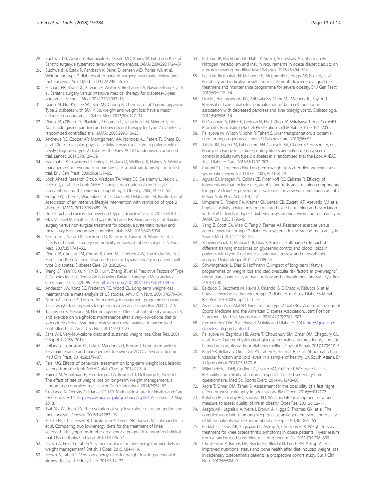- <span id="page-12-0"></span>28. Buchwald H, Avidor Y, Braunwald E, Jensen MD, Pories W, Fahrbach K, et al. Bariatric surgery: a systematic review and meta-analysis. JAMA. 2004;292:1724–37.
- 29. Buchwald H, Estok R, Fahrbach K, Banel D, Jensen MD, Pories WJ, et al. Weight and type 2 diabetes after bariatric surgery: systematic review and meta-analysis. Am J Med. 2009;122:248–56. e5
- 30. Schauer PR, Bhatt DL, Kirwan JP, Wolski K, Brethauer SA, Navaneethan SD, et al. Bariatric surgery versus intensive medical therapy for diabetes–3-year outcomes. N Engl J Med. 2014;370:2002–13.
- 31. Dixon JB, Hur KY, Lee WJ, Kim MJ, Chong K, Chen SC, et al. Gastric bypass in Type 2 diabetes with BMI < 30: weight and weight loss have a major influence on outcomes. Diabet Med. 2013;30:e127–34.
- 32. Dixon JB, O'Brien PE, Playfair J, Chapman L, Schachter LM, Skinner S, et al. Adjustable gastric banding and conventional therapy for type 2 diabetes: a randomized controlled trial. JAMA. 2008;299:316–23.
- 33. Andrews RC, Cooper AR, Montgomery AA, Norcross AJ, Peters TJ, Sharp DJ, et al. Diet or diet plus physical activity versus usual care in patients with newly diagnosed type 2 diabetes: the Early ACTID randomised controlled trial. Lancet. 2011;378:129–39.
- 34. Nanchahal K, Townsend J, Letley L, Haslam D, Wellings K, Haines A. Weightmanagement interventions in primary care: a pilot randomised controlled trial. Br J Gen Pract. 2009;59:e157–66.
- 35. Look Ahead Research Group, Wadden TA, West DS, Delahanty L, Jakicic J, Rejeski J, et al. The Look AHEAD study: a description of the lifestyle intervention and the evidence supporting it. Obesity. 2006;14:737–52.
- 36. Gregg EW, Chen H, Wagenknecht LE, Clark JM, Delahanty LM, Bantle J, et al. Association of an intensive lifestyle intervention with remission of type 2 diabetes. JAMA. 2012;308:2489–96.
- 37. Hu FB. Diet and exercise for new-onset type 2 diabetes? Lancet. 2011;378:101–2.
- 38. Gloy VL, Briel M, Bhatt DL, Kashyap SR, Schauer PR, Mingrone G, et al. Bariatric surgery versus non-surgical treatment for obesity: a systematic review and meta-analysis of randomised controlled trials. BMJ. 2013;347:f5934.
- 39. Sjostrom L, Narbro K, Sjostrom CD, Karason K, Larsson B, Wedel H, et al. Effects of bariatric surgery on mortality in Swedish obese subjects. N Engl J Med. 2007;357:741–52.
- 40. Dixon JB, Chuang LM, Chong K, Chen SC, Lambert GW, Straznicky NE, et al. Predicting the glycemic response to gastric bypass surgery in patients with type 2 diabetes. Diabetes Care. 2013;36:20–6.
- 41. Wang GF, Yan YX, Xu N, Yin D, Hui Y, Zhang JP, et al. Predictive Factors of Type 2 Diabetes Mellitus Remission Following Bariatric Surgery: a Meta-analysis. Obes Surg. 2015;25(2):199–208. <https://doi.org/10.1007/s11695-014-1391-y>.
- 42. Anderson JW, Konz EC, Frederich RC, Wood CL. Long-term weight-loss maintenance: a meta-analysis of US studies. Am J Clin Nutr. 2001;74:579–84.
- 43. Astrup A, Rossner S. Lessons from obesity management programmes: greater initial weight loss improves long-term maintenance. Obes Rev. 2000;1:17–9.
- 44. Johansson K, Neovius M, Hemmingsson E. Effects of anti-obesity drugs, diet, and exercise on weight-loss maintenance after a very-low-calorie diet or low-calorie diet: a systematic review and meta-analysis of randomized controlled trials. Am J Clin Nutr. 2014;99:14–23.
- 45. Saris WH. Very-low-calorie diets and sustained weight loss. Obes Res. 2001; 9(Suppl 4):295S–301S.
- 46. Rolland C, Johnston KL, Lula S, Macdonald I, Broom J. Long-term weight loss maintenance and management following a VLCD: a 3-year outcome. Int J Clin Pract. 2014;68:379–87.
- 47. Perri MG. Effects of behavioral treatment on long-term weight loss: lessons learned from the look AHEAD trial. Obesity. 2014;22:3–4.
- Purcell M, Sumithran P, Prendergast LA, Bouniu CJ, Delbridge E, Proietto J. The effect of rate of weight loss on long-term weight management: a randomised controlled trial. Lancet Diab Endocrinol. 2014;2:954–62.
- 49. Guidance N. Obesity Guidance CG189. National Institute for Nealth and Care Excellence; 2014. <http://www.nice.org.uk/guidance/cg189>. Accessed 12 May 2018.
- 50. Tsai AG, Wadden TA. The evolution of very-low-calorie diets: an update and meta-analysis. Obesity. 2006;14:1283–93.
- 51. Riecke BF, Christensen R, Christensen P, Leeds AR, Boesen M, Lohmander LS, et al. Comparing two low-energy diets for the treatment of knee osteoarthritis symptoms in obese patients: a pragmatic randomized clinical trial. Osteoarthritis Cartilage. 2010;18:746–54.
- 52. Brown A, Frost G, Taheri S. Is there a place for low-energy formula diets in weight management? British. J Obes. 2015;1:84–119.
- 53. Brown A, Taheri S. Very-low-energy diets for weight loss in patients with kidney disease. J Kidney Care. 2018;3:14–22.
- 54. Bistrian BR, Blackburn GL, Flatt JP, Sizer J, Scrimshaw NS, Sherman M. Nitrogen metabolism and insulin requirements in obese diabetic adults on a protein-sparing modified fast. Diabetes. 1976;25:494–504.
- 55. Lean M, Brosnahan N, McLoone P, McCombie L, Higgs AB, Ross H, et al. Feasibility and indicative results from a 12-month low-energy liquid diet treatment and maintenance programme for severe obesity. Br J Gen Pract. 2013;63:e115–24.
- 56. Lim EL, Hollingsworth KG, Aribisala BS, Chen MJ, Mathers JC, Taylor R. Reversal of type 2 diabetes: normalisation of beta cell function in association with decreased pancreas and liver triacylglycerol. Diabetologia. 2011;54:2506–14.
- 57. El Ouaamari A, Dirice E, Gedeon N, Hu J, Zhou JY, Shirakawa J, et al. SerpinB1 Promotes Pancreatic beta Cell Proliferation. Cell Metab. 2016;23:194–205.
- 58. Pallayova M, Wilson V, John R, Taheri S. Liver transplantation: a potential cure for hepatogenous diabetes? Diabetes Care. 2013;36:e97.
- 59. Jakicic JM, Egan CM, Fabricatore AN, Gaussoin SA, Glasser SP, Hesson LA, et al. Four-year change in cardiorespiratory fitness and influence on glycemic control in adults with type 2 diabetes in a randomized trial: the Look AHEAD Trial. Diabetes Care. 2013;36:1297–303.
- 60. Curioni CC, Lourenco PM. Long-term weight loss after diet and exercise: a systematic review. Int J Obes. 2005;29:1168–74.
- 61. Aguiar EJ, Morgan PJ, Collins CE, Plotnikoff RC, Callister R. Efficacy of interventions that include diet, aerobic and resistance training components for type 2 diabetes prevention: a systematic review with meta-analysis. Int J Behav Nutr Phys Act. 2014;11:2.
- 62. Umpierre D, Ribeiro PA, Kramer CK, Leitao CB, Zucatti AT, Azevedo MJ, et al. Physical activity advice only or structured exercise training and association with HbA1c levels in type 2 diabetes: a systematic review and meta-analysis. JAMA. 2011;305:1790–9.
- 63. Yang Z, Scott CA, Mao C, Tang J, Farmer AJ. Resistance exercise versus aerobic exercise for type 2 diabetes: a systematic review and meta-analysis. Sports Med. 2014;44:487–99.
- 64. Schwingshackl L, Missbach B, Dias S, Konig J, Hoffmann G. Impact of different training modalities on glycaemic control and blood lipids in patients with type 2 diabetes: a systematic review and network metaanalysis. Diabetologia. 2014;57:1789–97.
- 65. Schwingshackl L, Dias S, Hoffmann G. Impact of long-term lifestyle programmes on weight loss and cardiovascular risk factors in overweight/ obese participants: a systematic review and network meta-analysis. Syst Rev. 2014;3:130.
- 66. Balducci S, Sacchetti M, Haxhi J, Orlando G, D'Errico V, Fallucca S, et al. Physical exercise as therapy for type 2 diabetes mellitus. Diabetes Metab Res Rev. 2014;30(Suppl 1):13–23.
- 67. Association ACoSMatAD. Exercise and Type 2 Diabetes: American College of Sports Medicine and the American Diabetes Association: Joint Position Statement. Med Sci Sports Exerc. 2010;42(12):2282–303.
- 68. Committee CDACPGE. Physical Activity and Diabetes. 2014. [http://guidelines.](http://guidelines.diabetes.ca/cpg/chapter10) [diabetes.ca/cpg/chapter10](http://guidelines.diabetes.ca/cpg/chapter10).
- 69. Pallayova M, Zaghloul HB, Arora T, Choudhury SM, Omar OM, Chagoury OL, et al. Investigating physiological glucose excursions before, during, and after Ramadan in adults without diabetes mellitus. Physiol Behav. 2017;179:110–5.
- 70. Patel SR, Bellary S, Qin L, Gill PS, Taheri S, Heitmar R, et al. Abnormal retinal vascular function and lipid levels in a sample of healthy UK South Asians. Br J Ophthalmol. 2011;95:1573–6.
- 71. Wijndaele K, I DEB, Godino JG, Lynch BM, Griffin SJ, Westgate K, et al. Reliability and validity of a domain-specific last 7-d sedentary time questionnaire. Med Sci Sports Exerc. 2014;46:1248–60.
- 72. Arora T, Omar OM, Taheri S. Assessment for the possibility of a first night effect for wrist actigraphy in adolescents. BMJ Open. 2016;6:e012172.
- 73. Kolotkin RL, Crosby RD, Kosloski KD, Williams GR. Development of a brief measure to assess quality of life in obesity. Obes Res. 2001;9:102–11.
- 74. Araghi MH, Jagielski A, Neira I, Brown A, Higgs S, Thomas GN, et al. The complex associations among sleep quality, anxiety-depression, and quality of life in patients with extreme obesity. Sleep. 2013;36:1859–65.
- 75. Bliddal H, Leeds AR, Stigsgaard L, Astrup A, Christensen R. Weight loss as treatment for knee osteoarthritis symptoms in obese patients: 1-year results from a randomised controlled trial. Ann Rheum Dis. 2011;70:1798–803.
- 76. Christensen P, Bartels EM, Riecke BF, Bliddal H, Leeds AR, Astrup A, et al. Improved nutritional status and bone health after diet-induced weight loss in sedentary osteoarthritis patients: a prospective cohort study. Eur J Clin Nutr. 2012;66:504–9.